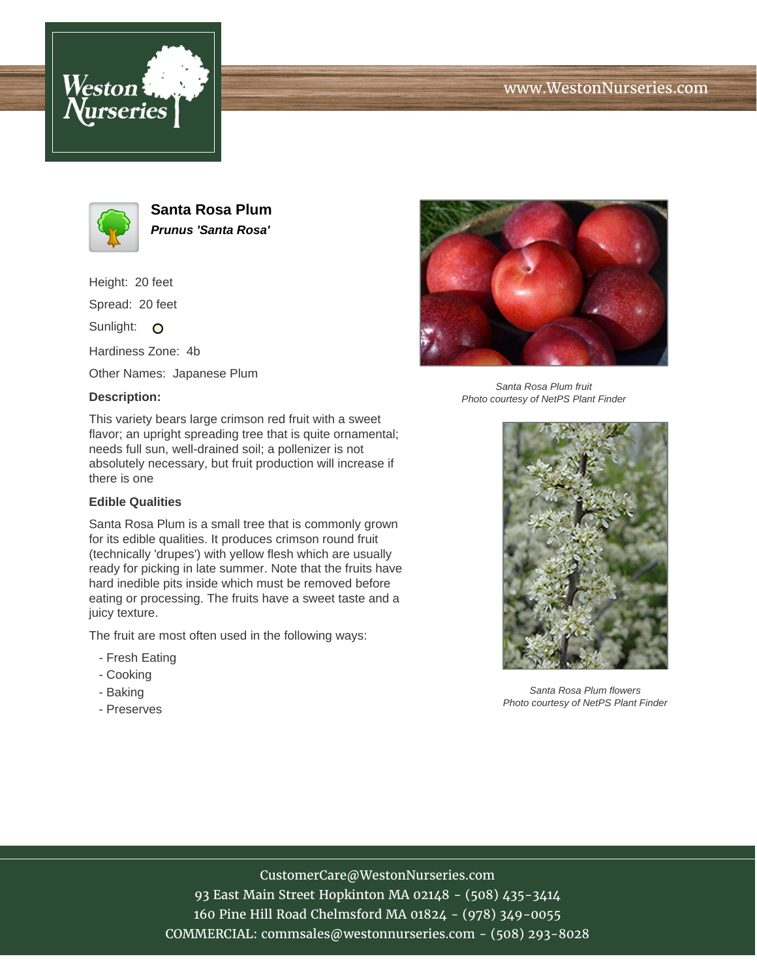



**Santa Rosa Plum Prunus 'Santa Rosa'**

Height: 20 feet

Spread: 20 feet

Sunlight: O

Hardiness Zone: 4b

Other Names: Japanese Plum

## **Description:**



### **Edible Qualities**

Santa Rosa Plum is a small tree that is commonly grown for its edible qualities. It produces crimson round fruit (technically 'drupes') with yellow flesh which are usually ready for picking in late summer. Note that the fruits have hard inedible pits inside which must be removed before eating or processing. The fruits have a sweet taste and a juicy texture.

The fruit are most often used in the following ways:

- Fresh Eating
- Cooking
- Baking
- Preserves



Santa Rosa Plum fruit Photo courtesy of NetPS Plant Finder



Santa Rosa Plum flowers Photo courtesy of NetPS Plant Finder

# CustomerCare@WestonNurseries.com

93 East Main Street Hopkinton MA 02148 - (508) 435-3414 160 Pine Hill Road Chelmsford MA 01824 - (978) 349-0055 COMMERCIAL: commsales@westonnurseries.com - (508) 293-8028